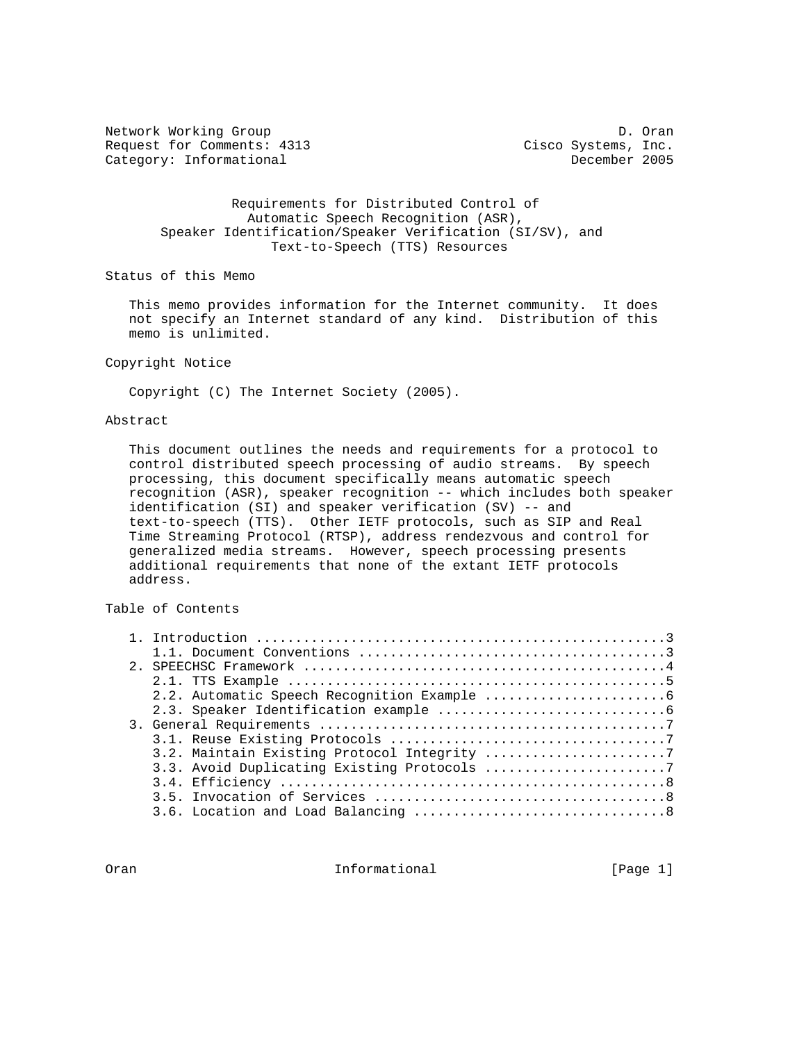Network Working Group Decay and the United States of D. Oran Request for Comments: 4313 Cisco Systems, Inc. Category: Informational December 2005

 Requirements for Distributed Control of Automatic Speech Recognition (ASR), Speaker Identification/Speaker Verification (SI/SV), and Text-to-Speech (TTS) Resources

Status of this Memo

 This memo provides information for the Internet community. It does not specify an Internet standard of any kind. Distribution of this memo is unlimited.

## Copyright Notice

Copyright (C) The Internet Society (2005).

# Abstract

 This document outlines the needs and requirements for a protocol to control distributed speech processing of audio streams. By speech processing, this document specifically means automatic speech recognition (ASR), speaker recognition -- which includes both speaker identification (SI) and speaker verification (SV) -- and text-to-speech (TTS). Other IETF protocols, such as SIP and Real Time Streaming Protocol (RTSP), address rendezvous and control for generalized media streams. However, speech processing presents additional requirements that none of the extant IETF protocols address.

# Table of Contents

|  | 3.2. Maintain Existing Protocol Integrity 7 |
|--|---------------------------------------------|
|  |                                             |
|  |                                             |
|  |                                             |
|  |                                             |

Oran **Informational** Informational [Page 1]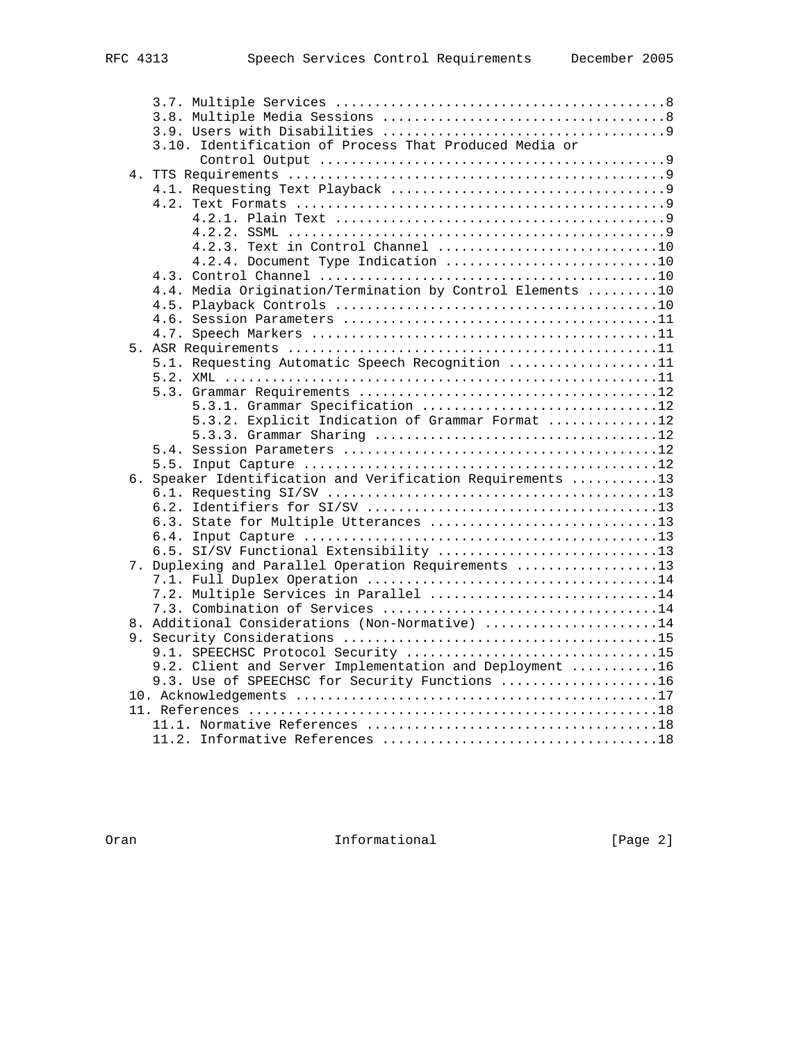|  | 3.10. Identification of Process That Produced Media or                                                    |  |
|--|-----------------------------------------------------------------------------------------------------------|--|
|  |                                                                                                           |  |
|  |                                                                                                           |  |
|  |                                                                                                           |  |
|  |                                                                                                           |  |
|  |                                                                                                           |  |
|  |                                                                                                           |  |
|  | 4.2.3. Text in Control Channel 10                                                                         |  |
|  | 4.2.4. Document Type Indication 10                                                                        |  |
|  |                                                                                                           |  |
|  | 4.4. Media Origination/Termination by Control Elements 10                                                 |  |
|  |                                                                                                           |  |
|  |                                                                                                           |  |
|  |                                                                                                           |  |
|  |                                                                                                           |  |
|  | 5.1. Requesting Automatic Speech Recognition 11                                                           |  |
|  |                                                                                                           |  |
|  |                                                                                                           |  |
|  | 5.3.1. Grammar Specification 12                                                                           |  |
|  | 5.3.2. Explicit Indication of Grammar Format 12                                                           |  |
|  |                                                                                                           |  |
|  |                                                                                                           |  |
|  |                                                                                                           |  |
|  | 6. Speaker Identification and Verification Requirements 13                                                |  |
|  |                                                                                                           |  |
|  |                                                                                                           |  |
|  | 6.3. State for Multiple Utterances 13                                                                     |  |
|  |                                                                                                           |  |
|  | 6.5. SI/SV Functional Extensibility 13                                                                    |  |
|  | 7. Duplexing and Parallel Operation Requirements 13                                                       |  |
|  |                                                                                                           |  |
|  | 7.2. Multiple Services in Parallel 14                                                                     |  |
|  | 8. Additional Considerations (Non-Normative) 14                                                           |  |
|  |                                                                                                           |  |
|  | 9.1. SPEECHSC Protocol Security 15                                                                        |  |
|  |                                                                                                           |  |
|  | 9.2. Client and Server Implementation and Deployment 16<br>9.3. Use of SPEECHSC for Security Functions 16 |  |
|  |                                                                                                           |  |
|  |                                                                                                           |  |
|  |                                                                                                           |  |
|  |                                                                                                           |  |
|  |                                                                                                           |  |

Oran **Informational** Informational [Page 2]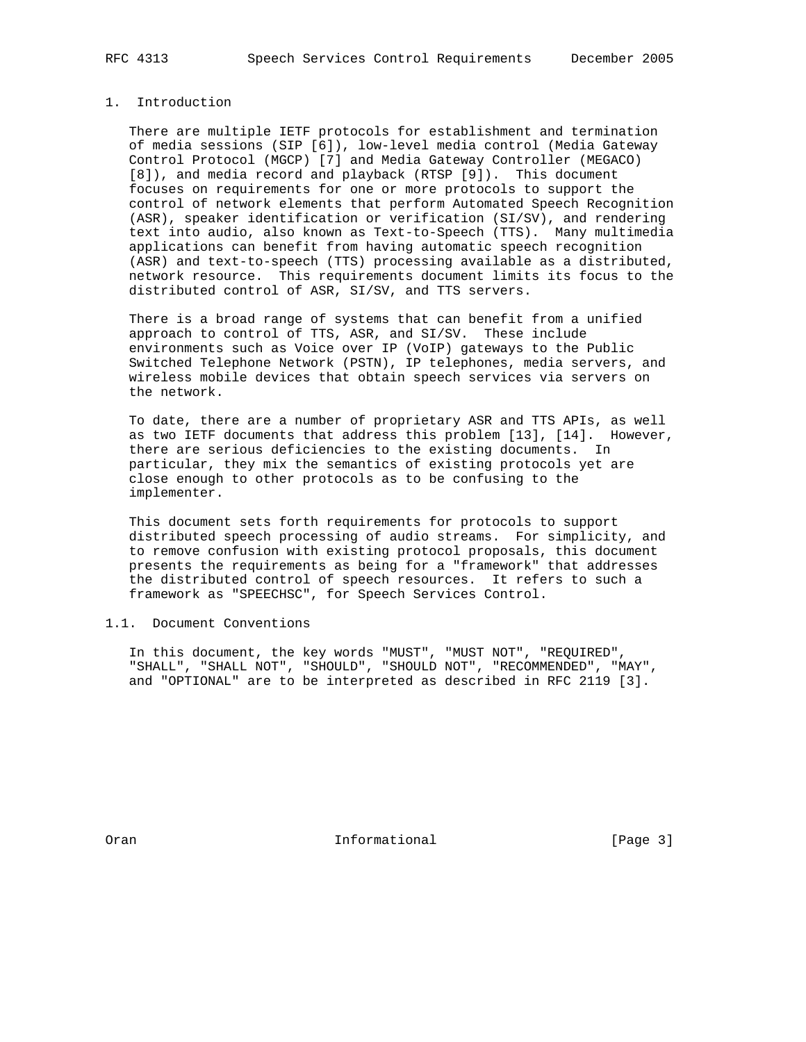# 1. Introduction

 There are multiple IETF protocols for establishment and termination of media sessions (SIP [6]), low-level media control (Media Gateway Control Protocol (MGCP) [7] and Media Gateway Controller (MEGACO) [8]), and media record and playback (RTSP [9]). This document focuses on requirements for one or more protocols to support the control of network elements that perform Automated Speech Recognition (ASR), speaker identification or verification (SI/SV), and rendering text into audio, also known as Text-to-Speech (TTS). Many multimedia applications can benefit from having automatic speech recognition (ASR) and text-to-speech (TTS) processing available as a distributed, network resource. This requirements document limits its focus to the distributed control of ASR, SI/SV, and TTS servers.

 There is a broad range of systems that can benefit from a unified approach to control of TTS, ASR, and SI/SV. These include environments such as Voice over IP (VoIP) gateways to the Public Switched Telephone Network (PSTN), IP telephones, media servers, and wireless mobile devices that obtain speech services via servers on the network.

 To date, there are a number of proprietary ASR and TTS APIs, as well as two IETF documents that address this problem [13], [14]. However, there are serious deficiencies to the existing documents. In particular, they mix the semantics of existing protocols yet are close enough to other protocols as to be confusing to the implementer.

 This document sets forth requirements for protocols to support distributed speech processing of audio streams. For simplicity, and to remove confusion with existing protocol proposals, this document presents the requirements as being for a "framework" that addresses the distributed control of speech resources. It refers to such a framework as "SPEECHSC", for Speech Services Control.

# 1.1. Document Conventions

 In this document, the key words "MUST", "MUST NOT", "REQUIRED", "SHALL", "SHALL NOT", "SHOULD", "SHOULD NOT", "RECOMMENDED", "MAY", and "OPTIONAL" are to be interpreted as described in RFC 2119 [3].

Oran **Informational** Informational [Page 3]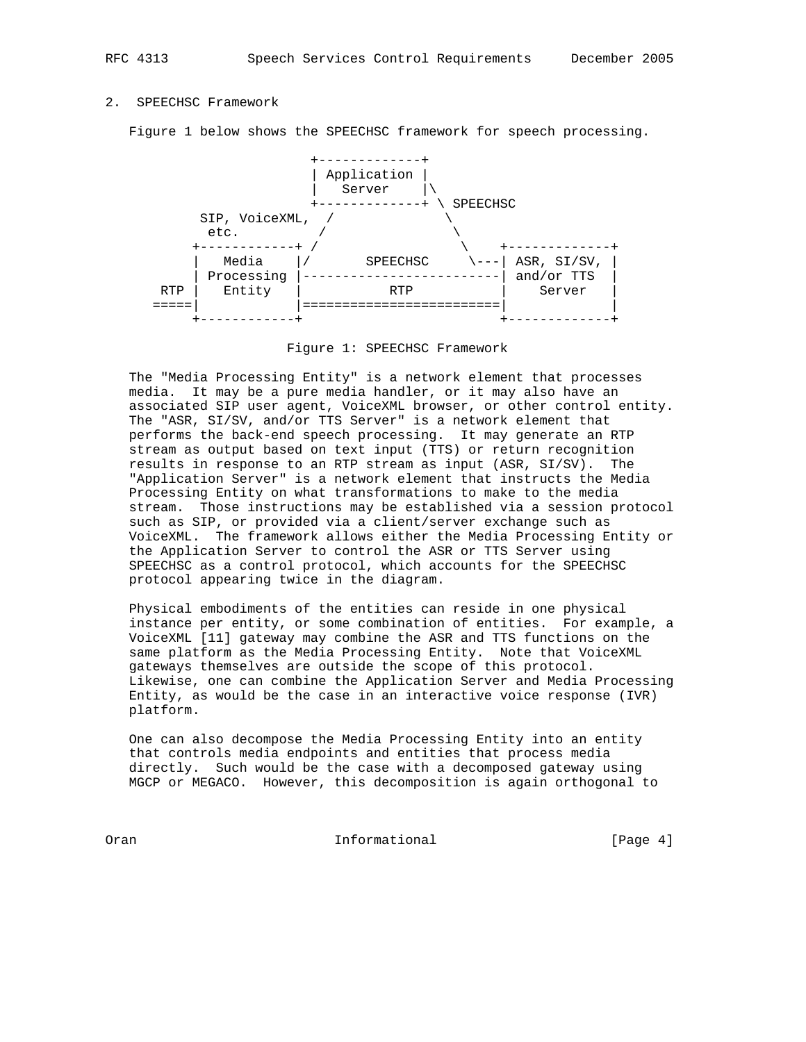# 2. SPEECHSC Framework

Figure 1 below shows the SPEECHSC framework for speech processing.



Figure 1: SPEECHSC Framework

 The "Media Processing Entity" is a network element that processes media. It may be a pure media handler, or it may also have an associated SIP user agent, VoiceXML browser, or other control entity. The "ASR, SI/SV, and/or TTS Server" is a network element that performs the back-end speech processing. It may generate an RTP stream as output based on text input (TTS) or return recognition results in response to an RTP stream as input (ASR, SI/SV). The "Application Server" is a network element that instructs the Media Processing Entity on what transformations to make to the media stream. Those instructions may be established via a session protocol such as SIP, or provided via a client/server exchange such as VoiceXML. The framework allows either the Media Processing Entity or the Application Server to control the ASR or TTS Server using SPEECHSC as a control protocol, which accounts for the SPEECHSC protocol appearing twice in the diagram.

 Physical embodiments of the entities can reside in one physical instance per entity, or some combination of entities. For example, a VoiceXML [11] gateway may combine the ASR and TTS functions on the same platform as the Media Processing Entity. Note that VoiceXML gateways themselves are outside the scope of this protocol. Likewise, one can combine the Application Server and Media Processing Entity, as would be the case in an interactive voice response (IVR) platform.

 One can also decompose the Media Processing Entity into an entity that controls media endpoints and entities that process media directly. Such would be the case with a decomposed gateway using MGCP or MEGACO. However, this decomposition is again orthogonal to

Oran Informational [Page 4]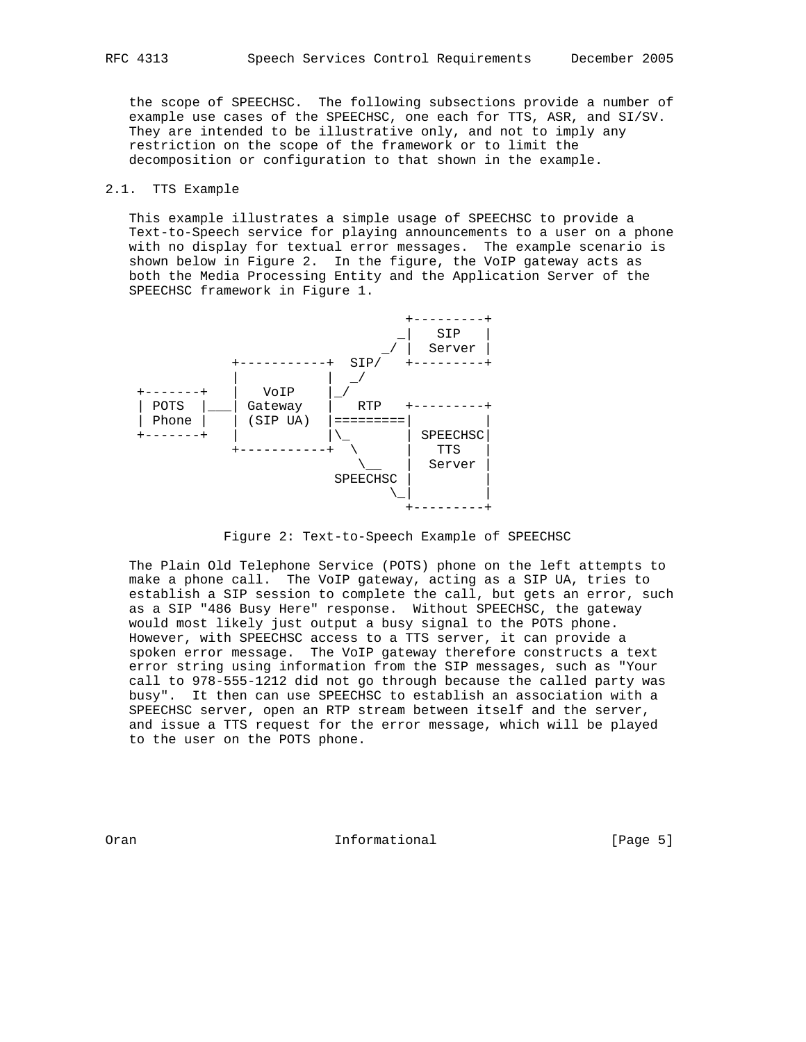the scope of SPEECHSC. The following subsections provide a number of example use cases of the SPEECHSC, one each for TTS, ASR, and SI/SV. They are intended to be illustrative only, and not to imply any restriction on the scope of the framework or to limit the decomposition or configuration to that shown in the example.

# 2.1. TTS Example

 This example illustrates a simple usage of SPEECHSC to provide a Text-to-Speech service for playing announcements to a user on a phone with no display for textual error messages. The example scenario is shown below in Figure 2. In the figure, the VoIP gateway acts as both the Media Processing Entity and the Application Server of the SPEECHSC framework in Figure 1.



Figure 2: Text-to-Speech Example of SPEECHSC

 The Plain Old Telephone Service (POTS) phone on the left attempts to make a phone call. The VoIP gateway, acting as a SIP UA, tries to establish a SIP session to complete the call, but gets an error, such as a SIP "486 Busy Here" response. Without SPEECHSC, the gateway would most likely just output a busy signal to the POTS phone. However, with SPEECHSC access to a TTS server, it can provide a spoken error message. The VoIP gateway therefore constructs a text error string using information from the SIP messages, such as "Your call to 978-555-1212 did not go through because the called party was busy". It then can use SPEECHSC to establish an association with a SPEECHSC server, open an RTP stream between itself and the server, and issue a TTS request for the error message, which will be played to the user on the POTS phone.

Oran **Informational** Informational [Page 5]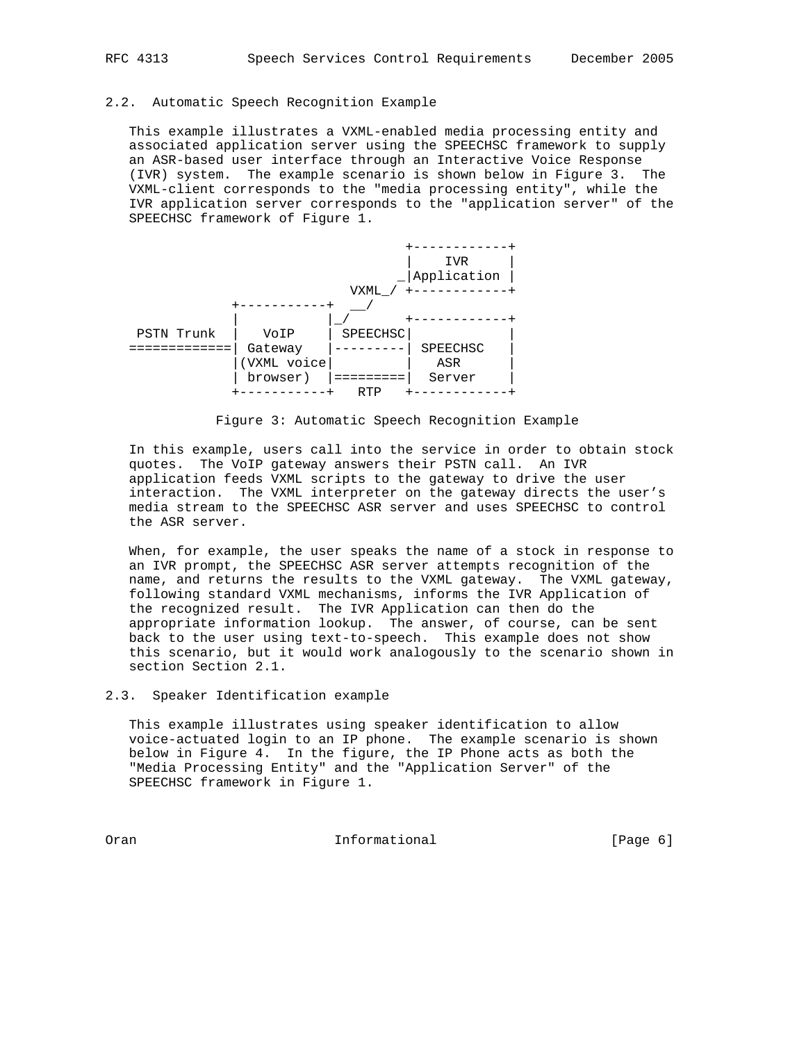# 2.2. Automatic Speech Recognition Example

 This example illustrates a VXML-enabled media processing entity and associated application server using the SPEECHSC framework to supply an ASR-based user interface through an Interactive Voice Response (IVR) system. The example scenario is shown below in Figure 3. The VXML-client corresponds to the "media processing entity", while the IVR application server corresponds to the "application server" of the SPEECHSC framework of Figure 1.



Figure 3: Automatic Speech Recognition Example

 In this example, users call into the service in order to obtain stock quotes. The VoIP gateway answers their PSTN call. An IVR application feeds VXML scripts to the gateway to drive the user interaction. The VXML interpreter on the gateway directs the user's media stream to the SPEECHSC ASR server and uses SPEECHSC to control the ASR server.

 When, for example, the user speaks the name of a stock in response to an IVR prompt, the SPEECHSC ASR server attempts recognition of the name, and returns the results to the VXML gateway. The VXML gateway, following standard VXML mechanisms, informs the IVR Application of the recognized result. The IVR Application can then do the appropriate information lookup. The answer, of course, can be sent back to the user using text-to-speech. This example does not show this scenario, but it would work analogously to the scenario shown in section Section 2.1.

2.3. Speaker Identification example

 This example illustrates using speaker identification to allow voice-actuated login to an IP phone. The example scenario is shown below in Figure 4. In the figure, the IP Phone acts as both the "Media Processing Entity" and the "Application Server" of the SPEECHSC framework in Figure 1.

Oran 100 Informational 100 Informational [Page 6]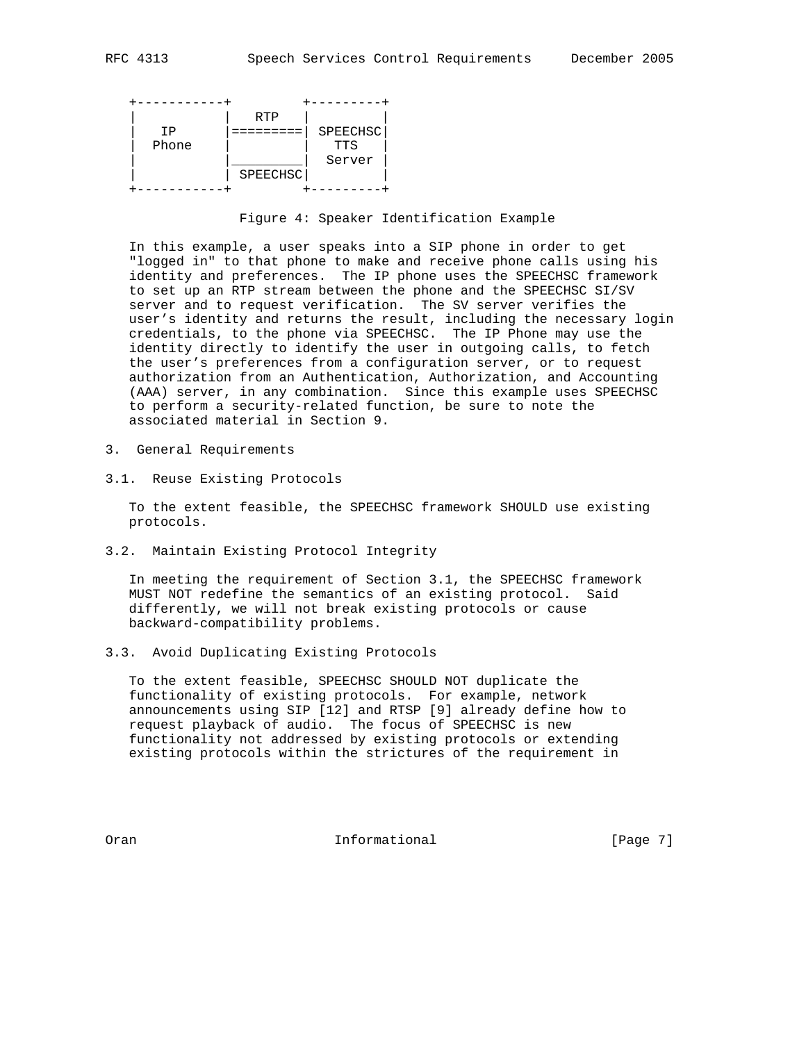

Figure 4: Speaker Identification Example

 In this example, a user speaks into a SIP phone in order to get "logged in" to that phone to make and receive phone calls using his identity and preferences. The IP phone uses the SPEECHSC framework to set up an RTP stream between the phone and the SPEECHSC SI/SV server and to request verification. The SV server verifies the user's identity and returns the result, including the necessary login credentials, to the phone via SPEECHSC. The IP Phone may use the identity directly to identify the user in outgoing calls, to fetch the user's preferences from a configuration server, or to request authorization from an Authentication, Authorization, and Accounting (AAA) server, in any combination. Since this example uses SPEECHSC to perform a security-related function, be sure to note the associated material in Section 9.

- 3. General Requirements
- 3.1. Reuse Existing Protocols

 To the extent feasible, the SPEECHSC framework SHOULD use existing protocols.

3.2. Maintain Existing Protocol Integrity

 In meeting the requirement of Section 3.1, the SPEECHSC framework MUST NOT redefine the semantics of an existing protocol. Said differently, we will not break existing protocols or cause backward-compatibility problems.

3.3. Avoid Duplicating Existing Protocols

 To the extent feasible, SPEECHSC SHOULD NOT duplicate the functionality of existing protocols. For example, network announcements using SIP [12] and RTSP [9] already define how to request playback of audio. The focus of SPEECHSC is new functionality not addressed by existing protocols or extending existing protocols within the strictures of the requirement in

Oran **Informational** Informational [Page 7]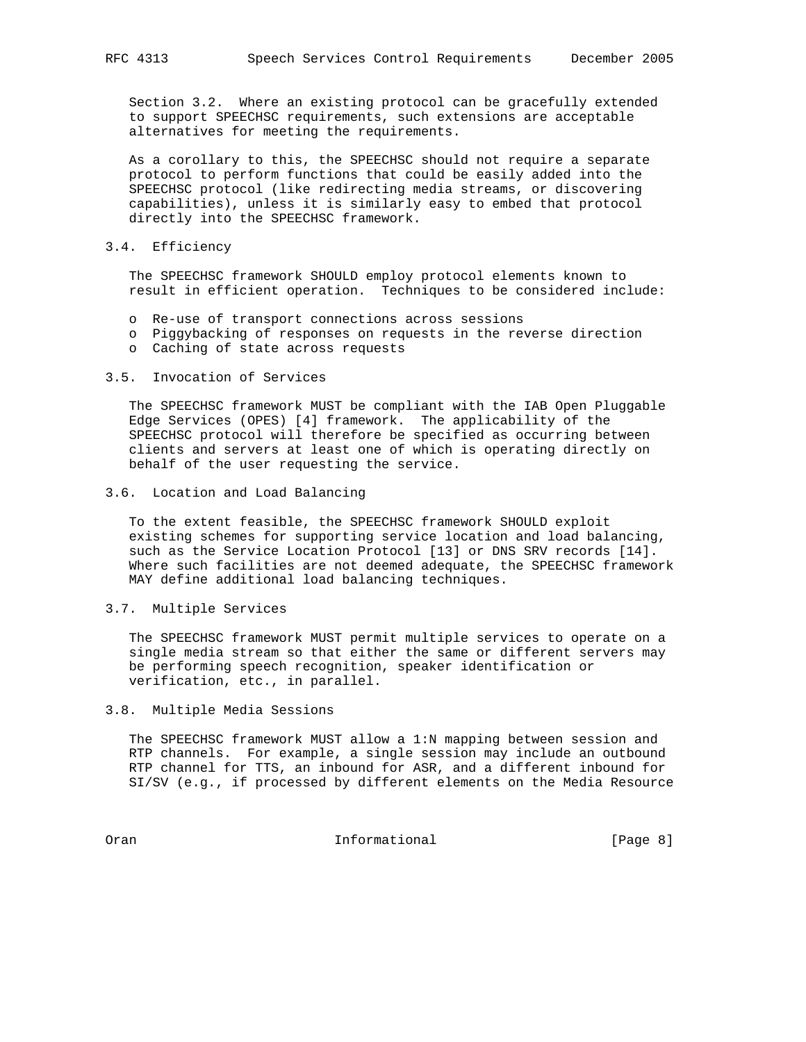Section 3.2. Where an existing protocol can be gracefully extended to support SPEECHSC requirements, such extensions are acceptable alternatives for meeting the requirements.

 As a corollary to this, the SPEECHSC should not require a separate protocol to perform functions that could be easily added into the SPEECHSC protocol (like redirecting media streams, or discovering capabilities), unless it is similarly easy to embed that protocol directly into the SPEECHSC framework.

## 3.4. Efficiency

 The SPEECHSC framework SHOULD employ protocol elements known to result in efficient operation. Techniques to be considered include:

- o Re-use of transport connections across sessions
- o Piggybacking of responses on requests in the reverse direction
- o Caching of state across requests

# 3.5. Invocation of Services

 The SPEECHSC framework MUST be compliant with the IAB Open Pluggable Edge Services (OPES) [4] framework. The applicability of the SPEECHSC protocol will therefore be specified as occurring between clients and servers at least one of which is operating directly on behalf of the user requesting the service.

## 3.6. Location and Load Balancing

 To the extent feasible, the SPEECHSC framework SHOULD exploit existing schemes for supporting service location and load balancing, such as the Service Location Protocol [13] or DNS SRV records [14]. Where such facilities are not deemed adequate, the SPEECHSC framework MAY define additional load balancing techniques.

## 3.7. Multiple Services

 The SPEECHSC framework MUST permit multiple services to operate on a single media stream so that either the same or different servers may be performing speech recognition, speaker identification or verification, etc., in parallel.

#### 3.8. Multiple Media Sessions

 The SPEECHSC framework MUST allow a 1:N mapping between session and RTP channels. For example, a single session may include an outbound RTP channel for TTS, an inbound for ASR, and a different inbound for SI/SV (e.g., if processed by different elements on the Media Resource

Oran Informational [Page 8]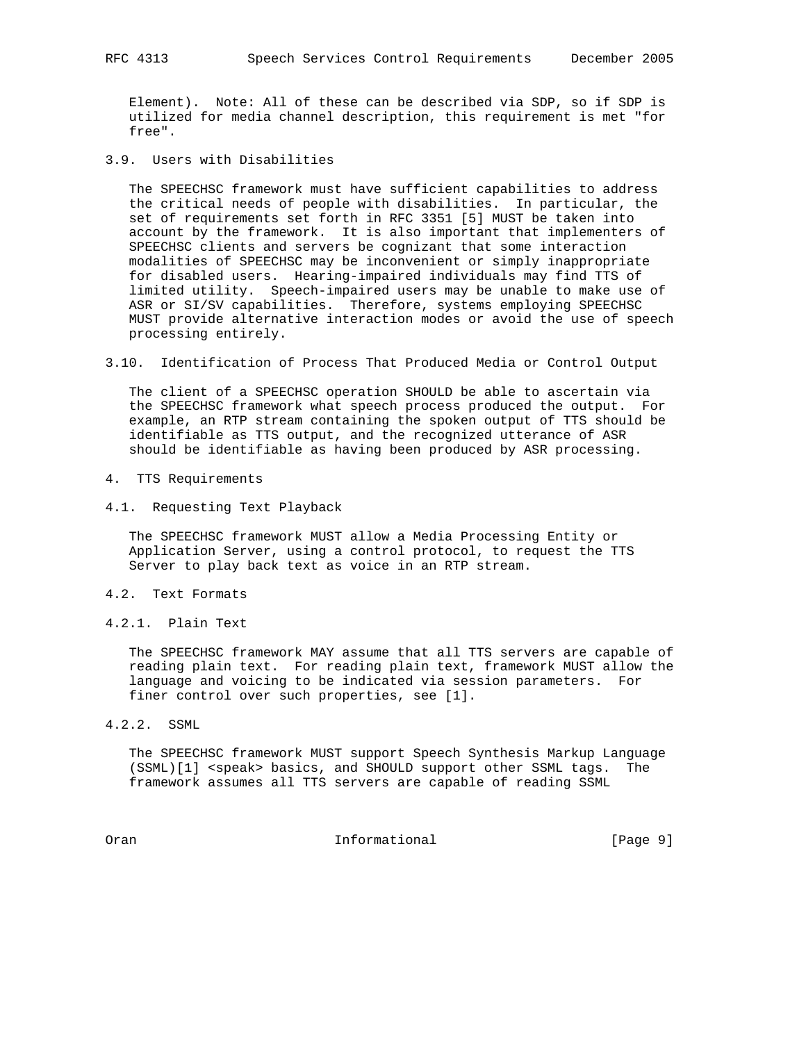Element). Note: All of these can be described via SDP, so if SDP is utilized for media channel description, this requirement is met "for free".

3.9. Users with Disabilities

 The SPEECHSC framework must have sufficient capabilities to address the critical needs of people with disabilities. In particular, the set of requirements set forth in RFC 3351 [5] MUST be taken into account by the framework. It is also important that implementers of SPEECHSC clients and servers be cognizant that some interaction modalities of SPEECHSC may be inconvenient or simply inappropriate for disabled users. Hearing-impaired individuals may find TTS of limited utility. Speech-impaired users may be unable to make use of ASR or SI/SV capabilities. Therefore, systems employing SPEECHSC MUST provide alternative interaction modes or avoid the use of speech processing entirely.

3.10. Identification of Process That Produced Media or Control Output

 The client of a SPEECHSC operation SHOULD be able to ascertain via the SPEECHSC framework what speech process produced the output. For example, an RTP stream containing the spoken output of TTS should be identifiable as TTS output, and the recognized utterance of ASR should be identifiable as having been produced by ASR processing.

- 4. TTS Requirements
- 4.1. Requesting Text Playback

 The SPEECHSC framework MUST allow a Media Processing Entity or Application Server, using a control protocol, to request the TTS Server to play back text as voice in an RTP stream.

- 4.2. Text Formats
- 4.2.1. Plain Text

 The SPEECHSC framework MAY assume that all TTS servers are capable of reading plain text. For reading plain text, framework MUST allow the language and voicing to be indicated via session parameters. For finer control over such properties, see [1].

4.2.2. SSML

 The SPEECHSC framework MUST support Speech Synthesis Markup Language (SSML)[1] <speak> basics, and SHOULD support other SSML tags. The framework assumes all TTS servers are capable of reading SSML

Oran **Informational** Informational [Page 9]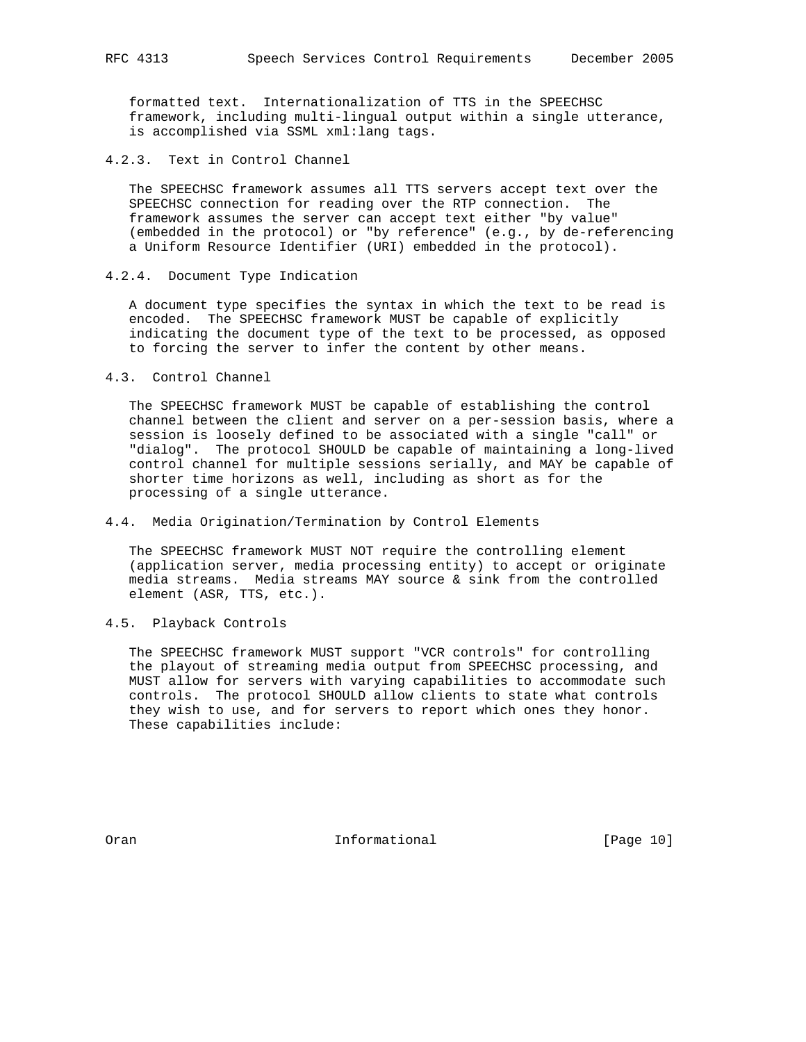formatted text. Internationalization of TTS in the SPEECHSC framework, including multi-lingual output within a single utterance, is accomplished via SSML xml:lang tags.

4.2.3. Text in Control Channel

 The SPEECHSC framework assumes all TTS servers accept text over the SPEECHSC connection for reading over the RTP connection. The framework assumes the server can accept text either "by value" (embedded in the protocol) or "by reference" (e.g., by de-referencing a Uniform Resource Identifier (URI) embedded in the protocol).

4.2.4. Document Type Indication

 A document type specifies the syntax in which the text to be read is encoded. The SPEECHSC framework MUST be capable of explicitly indicating the document type of the text to be processed, as opposed to forcing the server to infer the content by other means.

4.3. Control Channel

 The SPEECHSC framework MUST be capable of establishing the control channel between the client and server on a per-session basis, where a session is loosely defined to be associated with a single "call" or "dialog". The protocol SHOULD be capable of maintaining a long-lived control channel for multiple sessions serially, and MAY be capable of shorter time horizons as well, including as short as for the processing of a single utterance.

4.4. Media Origination/Termination by Control Elements

 The SPEECHSC framework MUST NOT require the controlling element (application server, media processing entity) to accept or originate media streams. Media streams MAY source & sink from the controlled element (ASR, TTS, etc.).

4.5. Playback Controls

 The SPEECHSC framework MUST support "VCR controls" for controlling the playout of streaming media output from SPEECHSC processing, and MUST allow for servers with varying capabilities to accommodate such controls. The protocol SHOULD allow clients to state what controls they wish to use, and for servers to report which ones they honor. These capabilities include:

Oran **Informational** Informational [Page 10]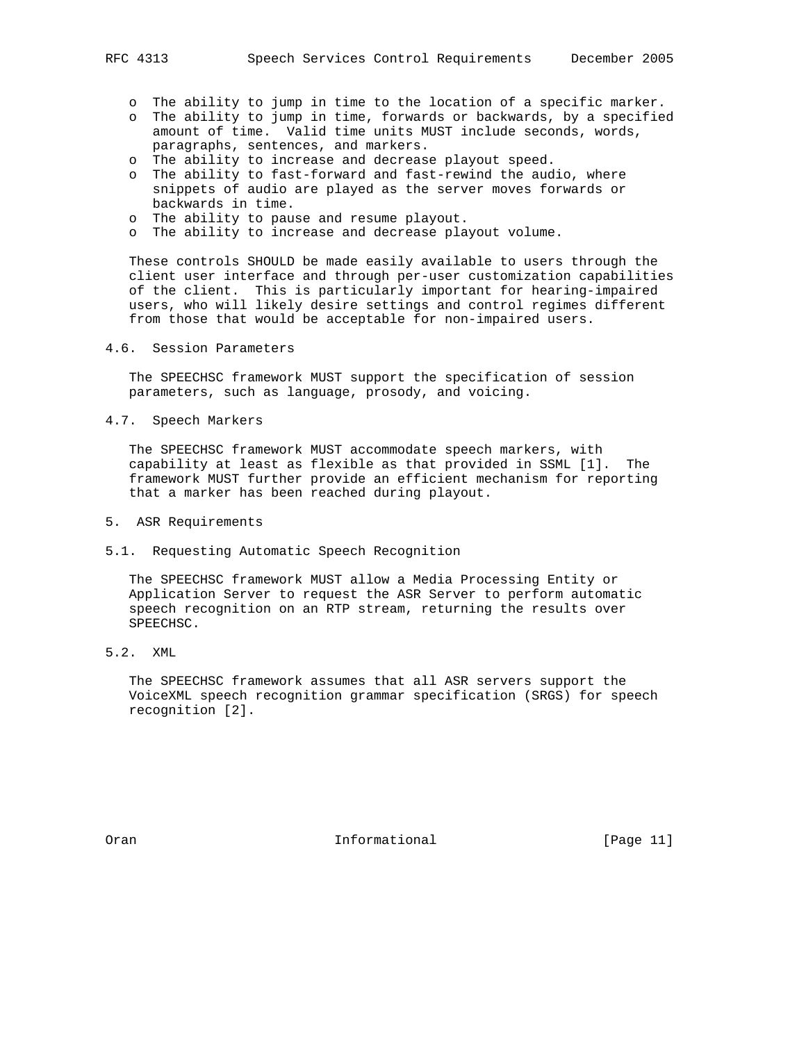- o The ability to jump in time to the location of a specific marker.
- o The ability to jump in time, forwards or backwards, by a specified amount of time. Valid time units MUST include seconds, words, paragraphs, sentences, and markers.
- o The ability to increase and decrease playout speed.
- o The ability to fast-forward and fast-rewind the audio, where snippets of audio are played as the server moves forwards or backwards in time.
- o The ability to pause and resume playout.
- o The ability to increase and decrease playout volume.

 These controls SHOULD be made easily available to users through the client user interface and through per-user customization capabilities of the client. This is particularly important for hearing-impaired users, who will likely desire settings and control regimes different from those that would be acceptable for non-impaired users.

4.6. Session Parameters

 The SPEECHSC framework MUST support the specification of session parameters, such as language, prosody, and voicing.

4.7. Speech Markers

 The SPEECHSC framework MUST accommodate speech markers, with capability at least as flexible as that provided in SSML [1]. The framework MUST further provide an efficient mechanism for reporting that a marker has been reached during playout.

- 5. ASR Requirements
- 5.1. Requesting Automatic Speech Recognition

 The SPEECHSC framework MUST allow a Media Processing Entity or Application Server to request the ASR Server to perform automatic speech recognition on an RTP stream, returning the results over SPEECHSC.

5.2. XML

 The SPEECHSC framework assumes that all ASR servers support the VoiceXML speech recognition grammar specification (SRGS) for speech recognition [2].

Oran **Informational** Informational [Page 11]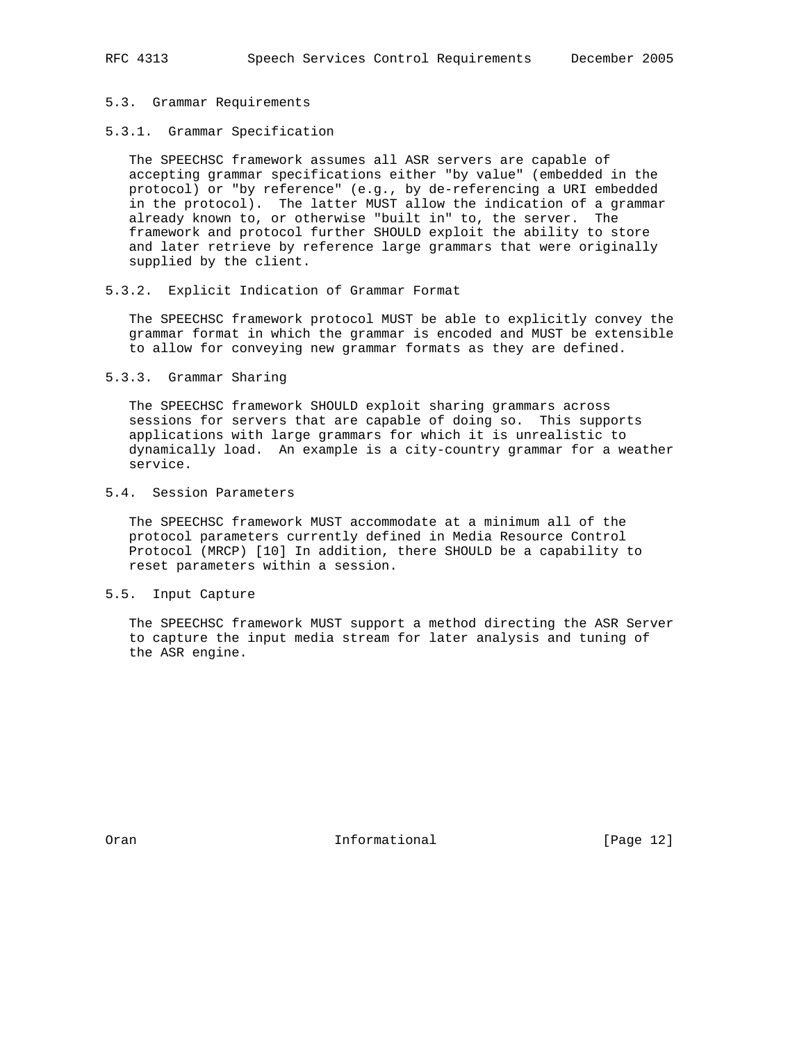## 5.3. Grammar Requirements

# 5.3.1. Grammar Specification

 The SPEECHSC framework assumes all ASR servers are capable of accepting grammar specifications either "by value" (embedded in the protocol) or "by reference" (e.g., by de-referencing a URI embedded in the protocol). The latter MUST allow the indication of a grammar already known to, or otherwise "built in" to, the server. The framework and protocol further SHOULD exploit the ability to store and later retrieve by reference large grammars that were originally supplied by the client.

#### 5.3.2. Explicit Indication of Grammar Format

 The SPEECHSC framework protocol MUST be able to explicitly convey the grammar format in which the grammar is encoded and MUST be extensible to allow for conveying new grammar formats as they are defined.

#### 5.3.3. Grammar Sharing

 The SPEECHSC framework SHOULD exploit sharing grammars across sessions for servers that are capable of doing so. This supports applications with large grammars for which it is unrealistic to dynamically load. An example is a city-country grammar for a weather service.

# 5.4. Session Parameters

 The SPEECHSC framework MUST accommodate at a minimum all of the protocol parameters currently defined in Media Resource Control Protocol (MRCP) [10] In addition, there SHOULD be a capability to reset parameters within a session.

## 5.5. Input Capture

 The SPEECHSC framework MUST support a method directing the ASR Server to capture the input media stream for later analysis and tuning of the ASR engine.

Oran **Informational** Informational [Page 12]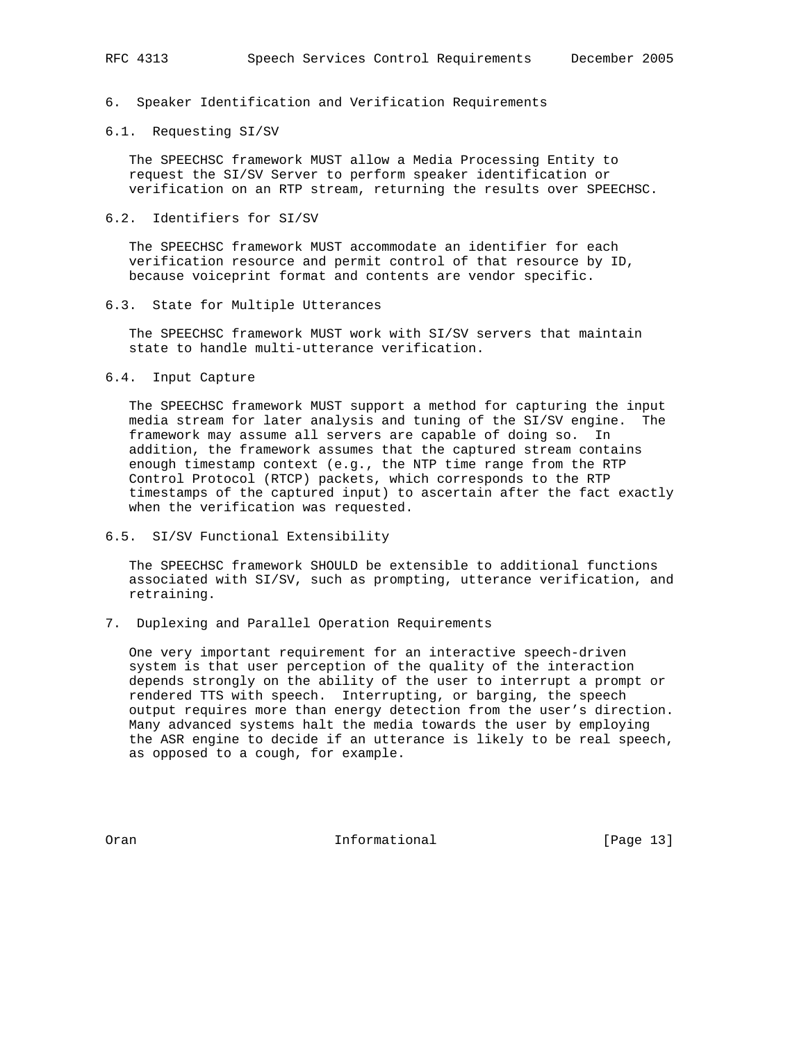# 6. Speaker Identification and Verification Requirements

## 6.1. Requesting SI/SV

 The SPEECHSC framework MUST allow a Media Processing Entity to request the SI/SV Server to perform speaker identification or verification on an RTP stream, returning the results over SPEECHSC.

## 6.2. Identifiers for SI/SV

 The SPEECHSC framework MUST accommodate an identifier for each verification resource and permit control of that resource by ID, because voiceprint format and contents are vendor specific.

#### 6.3. State for Multiple Utterances

 The SPEECHSC framework MUST work with SI/SV servers that maintain state to handle multi-utterance verification.

#### 6.4. Input Capture

 The SPEECHSC framework MUST support a method for capturing the input media stream for later analysis and tuning of the SI/SV engine. The framework may assume all servers are capable of doing so. In addition, the framework assumes that the captured stream contains enough timestamp context (e.g., the NTP time range from the RTP Control Protocol (RTCP) packets, which corresponds to the RTP timestamps of the captured input) to ascertain after the fact exactly when the verification was requested.

## 6.5. SI/SV Functional Extensibility

 The SPEECHSC framework SHOULD be extensible to additional functions associated with SI/SV, such as prompting, utterance verification, and retraining.

7. Duplexing and Parallel Operation Requirements

 One very important requirement for an interactive speech-driven system is that user perception of the quality of the interaction depends strongly on the ability of the user to interrupt a prompt or rendered TTS with speech. Interrupting, or barging, the speech output requires more than energy detection from the user's direction. Many advanced systems halt the media towards the user by employing the ASR engine to decide if an utterance is likely to be real speech, as opposed to a cough, for example.

Oran **Informational** Informational [Page 13]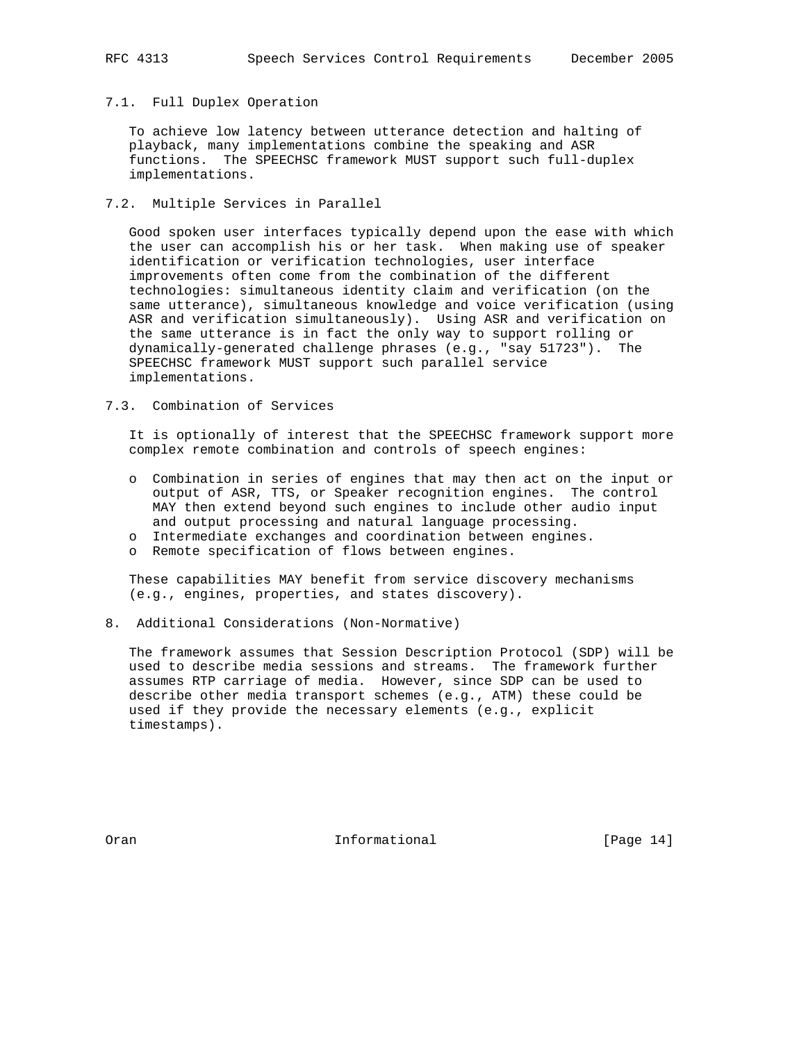# 7.1. Full Duplex Operation

 To achieve low latency between utterance detection and halting of playback, many implementations combine the speaking and ASR functions. The SPEECHSC framework MUST support such full-duplex implementations.

7.2. Multiple Services in Parallel

 Good spoken user interfaces typically depend upon the ease with which the user can accomplish his or her task. When making use of speaker identification or verification technologies, user interface improvements often come from the combination of the different technologies: simultaneous identity claim and verification (on the same utterance), simultaneous knowledge and voice verification (using ASR and verification simultaneously). Using ASR and verification on the same utterance is in fact the only way to support rolling or dynamically-generated challenge phrases (e.g., "say 51723"). The SPEECHSC framework MUST support such parallel service implementations.

# 7.3. Combination of Services

 It is optionally of interest that the SPEECHSC framework support more complex remote combination and controls of speech engines:

- o Combination in series of engines that may then act on the input or output of ASR, TTS, or Speaker recognition engines. The control MAY then extend beyond such engines to include other audio input and output processing and natural language processing.
- o Intermediate exchanges and coordination between engines.
- o Remote specification of flows between engines.

 These capabilities MAY benefit from service discovery mechanisms (e.g., engines, properties, and states discovery).

8. Additional Considerations (Non-Normative)

 The framework assumes that Session Description Protocol (SDP) will be used to describe media sessions and streams. The framework further assumes RTP carriage of media. However, since SDP can be used to describe other media transport schemes (e.g., ATM) these could be used if they provide the necessary elements (e.g., explicit timestamps).

Oran **Informational** Informational [Page 14]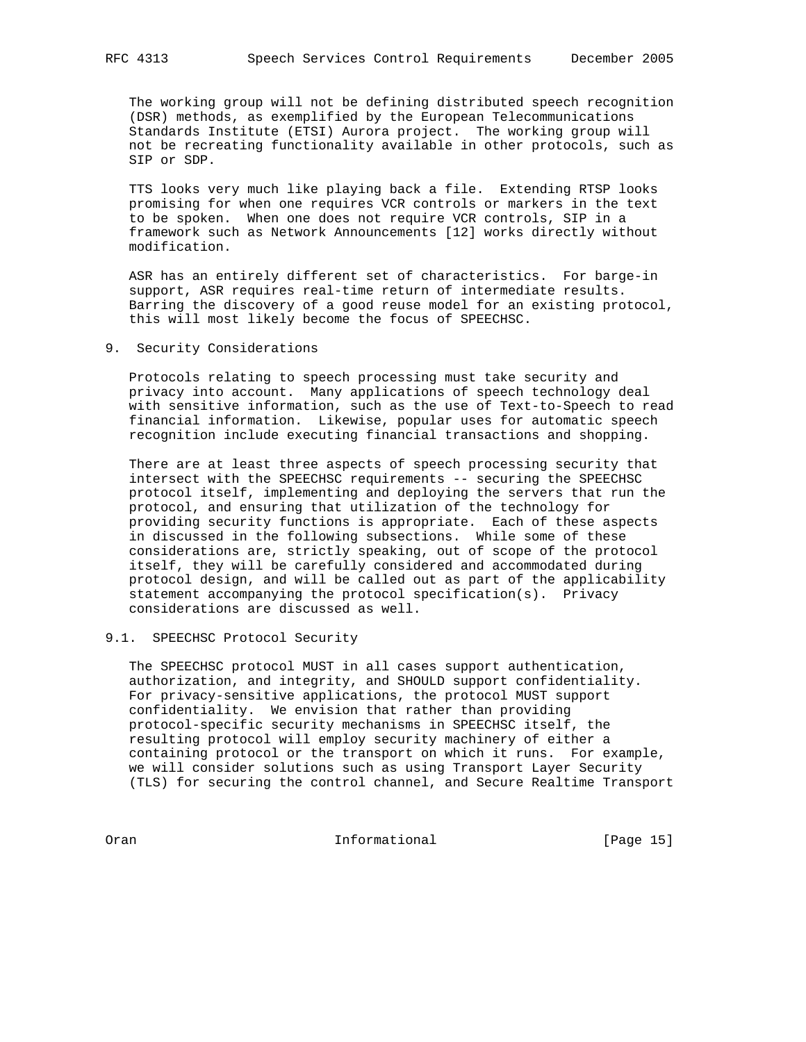The working group will not be defining distributed speech recognition (DSR) methods, as exemplified by the European Telecommunications Standards Institute (ETSI) Aurora project. The working group will not be recreating functionality available in other protocols, such as SIP or SDP.

 TTS looks very much like playing back a file. Extending RTSP looks promising for when one requires VCR controls or markers in the text to be spoken. When one does not require VCR controls, SIP in a framework such as Network Announcements [12] works directly without modification.

 ASR has an entirely different set of characteristics. For barge-in support, ASR requires real-time return of intermediate results. Barring the discovery of a good reuse model for an existing protocol, this will most likely become the focus of SPEECHSC.

9. Security Considerations

 Protocols relating to speech processing must take security and privacy into account. Many applications of speech technology deal with sensitive information, such as the use of Text-to-Speech to read financial information. Likewise, popular uses for automatic speech recognition include executing financial transactions and shopping.

 There are at least three aspects of speech processing security that intersect with the SPEECHSC requirements -- securing the SPEECHSC protocol itself, implementing and deploying the servers that run the protocol, and ensuring that utilization of the technology for providing security functions is appropriate. Each of these aspects in discussed in the following subsections. While some of these considerations are, strictly speaking, out of scope of the protocol itself, they will be carefully considered and accommodated during protocol design, and will be called out as part of the applicability statement accompanying the protocol specification(s). Privacy considerations are discussed as well.

# 9.1. SPEECHSC Protocol Security

 The SPEECHSC protocol MUST in all cases support authentication, authorization, and integrity, and SHOULD support confidentiality. For privacy-sensitive applications, the protocol MUST support confidentiality. We envision that rather than providing protocol-specific security mechanisms in SPEECHSC itself, the resulting protocol will employ security machinery of either a containing protocol or the transport on which it runs. For example, we will consider solutions such as using Transport Layer Security (TLS) for securing the control channel, and Secure Realtime Transport

Oran **Informational** Informational [Page 15]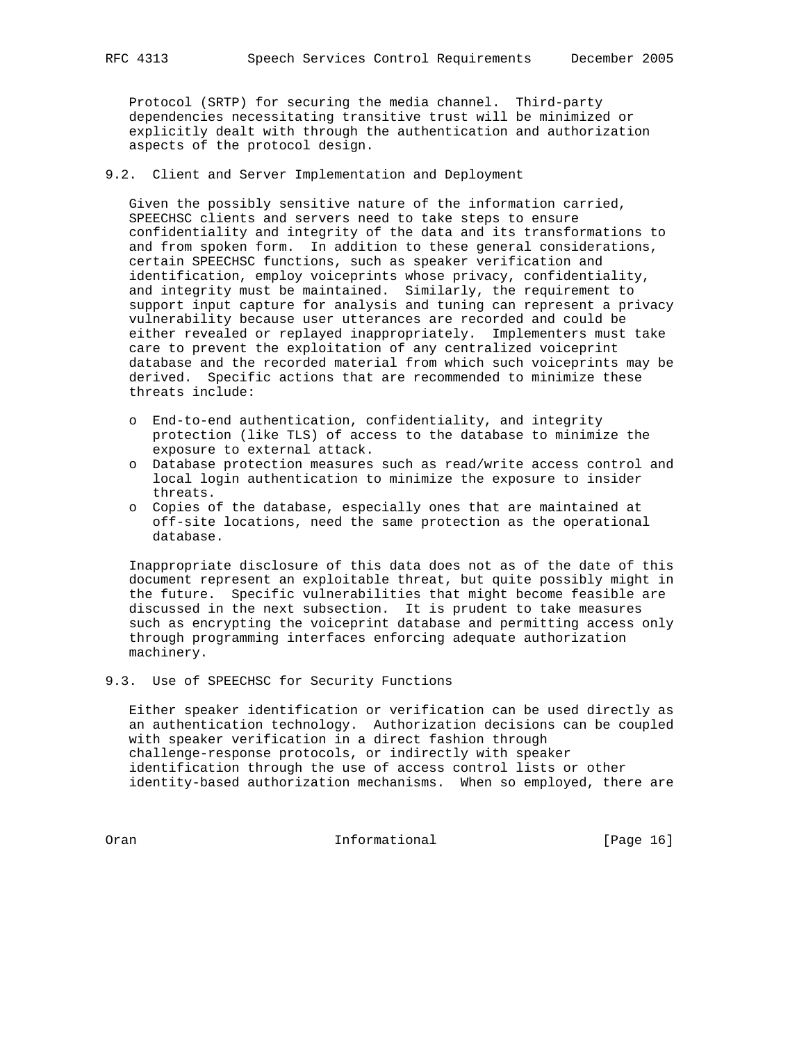Protocol (SRTP) for securing the media channel. Third-party dependencies necessitating transitive trust will be minimized or explicitly dealt with through the authentication and authorization aspects of the protocol design.

9.2. Client and Server Implementation and Deployment

 Given the possibly sensitive nature of the information carried, SPEECHSC clients and servers need to take steps to ensure confidentiality and integrity of the data and its transformations to and from spoken form. In addition to these general considerations, certain SPEECHSC functions, such as speaker verification and identification, employ voiceprints whose privacy, confidentiality, and integrity must be maintained. Similarly, the requirement to support input capture for analysis and tuning can represent a privacy vulnerability because user utterances are recorded and could be either revealed or replayed inappropriately. Implementers must take care to prevent the exploitation of any centralized voiceprint database and the recorded material from which such voiceprints may be derived. Specific actions that are recommended to minimize these threats include:

- o End-to-end authentication, confidentiality, and integrity protection (like TLS) of access to the database to minimize the exposure to external attack.
- o Database protection measures such as read/write access control and local login authentication to minimize the exposure to insider threats.
- o Copies of the database, especially ones that are maintained at off-site locations, need the same protection as the operational database.

 Inappropriate disclosure of this data does not as of the date of this document represent an exploitable threat, but quite possibly might in the future. Specific vulnerabilities that might become feasible are discussed in the next subsection. It is prudent to take measures such as encrypting the voiceprint database and permitting access only through programming interfaces enforcing adequate authorization machinery.

9.3. Use of SPEECHSC for Security Functions

 Either speaker identification or verification can be used directly as an authentication technology. Authorization decisions can be coupled with speaker verification in a direct fashion through challenge-response protocols, or indirectly with speaker identification through the use of access control lists or other identity-based authorization mechanisms. When so employed, there are

Oran 100 Informational 100 Informational [Page 16]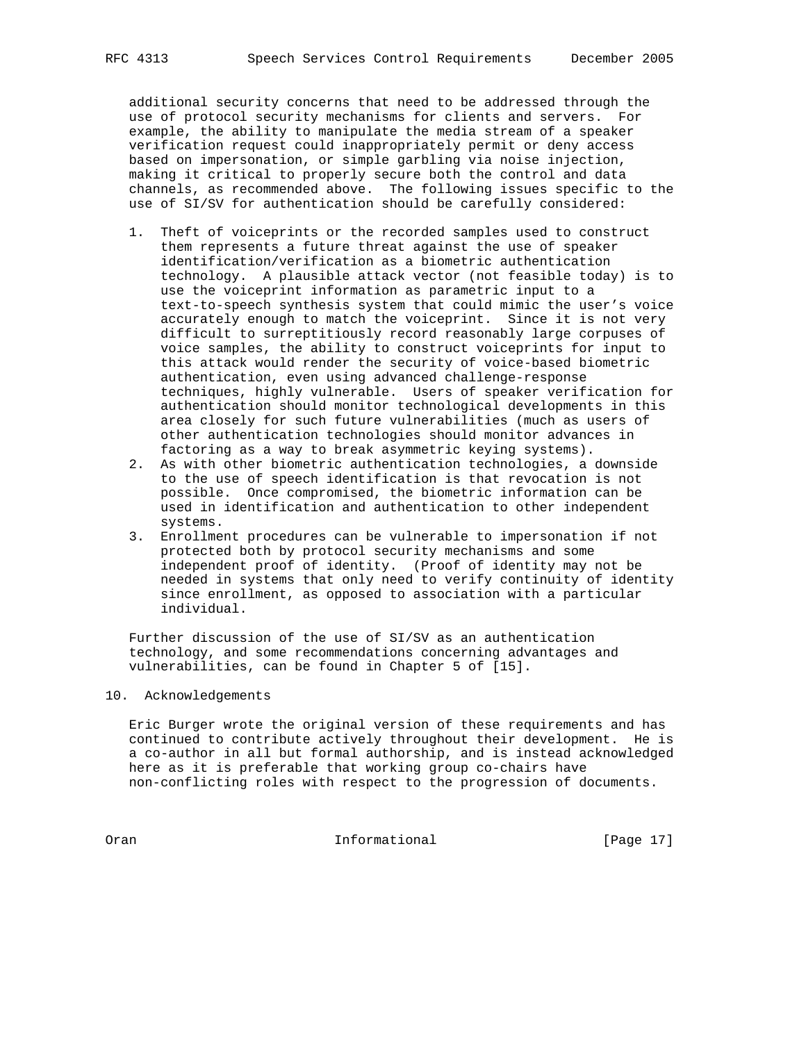additional security concerns that need to be addressed through the use of protocol security mechanisms for clients and servers. For example, the ability to manipulate the media stream of a speaker verification request could inappropriately permit or deny access based on impersonation, or simple garbling via noise injection, making it critical to properly secure both the control and data channels, as recommended above. The following issues specific to the use of SI/SV for authentication should be carefully considered:

- 1. Theft of voiceprints or the recorded samples used to construct them represents a future threat against the use of speaker identification/verification as a biometric authentication technology. A plausible attack vector (not feasible today) is to use the voiceprint information as parametric input to a text-to-speech synthesis system that could mimic the user's voice accurately enough to match the voiceprint. Since it is not very difficult to surreptitiously record reasonably large corpuses of voice samples, the ability to construct voiceprints for input to this attack would render the security of voice-based biometric authentication, even using advanced challenge-response techniques, highly vulnerable. Users of speaker verification for authentication should monitor technological developments in this area closely for such future vulnerabilities (much as users of other authentication technologies should monitor advances in factoring as a way to break asymmetric keying systems).
- 2. As with other biometric authentication technologies, a downside to the use of speech identification is that revocation is not possible. Once compromised, the biometric information can be used in identification and authentication to other independent systems.
- 3. Enrollment procedures can be vulnerable to impersonation if not protected both by protocol security mechanisms and some independent proof of identity. (Proof of identity may not be needed in systems that only need to verify continuity of identity since enrollment, as opposed to association with a particular individual.

 Further discussion of the use of SI/SV as an authentication technology, and some recommendations concerning advantages and vulnerabilities, can be found in Chapter 5 of [15].

# 10. Acknowledgements

 Eric Burger wrote the original version of these requirements and has continued to contribute actively throughout their development. He is a co-author in all but formal authorship, and is instead acknowledged here as it is preferable that working group co-chairs have non-conflicting roles with respect to the progression of documents.

Oran 100 Informational 100 Informational [Page 17]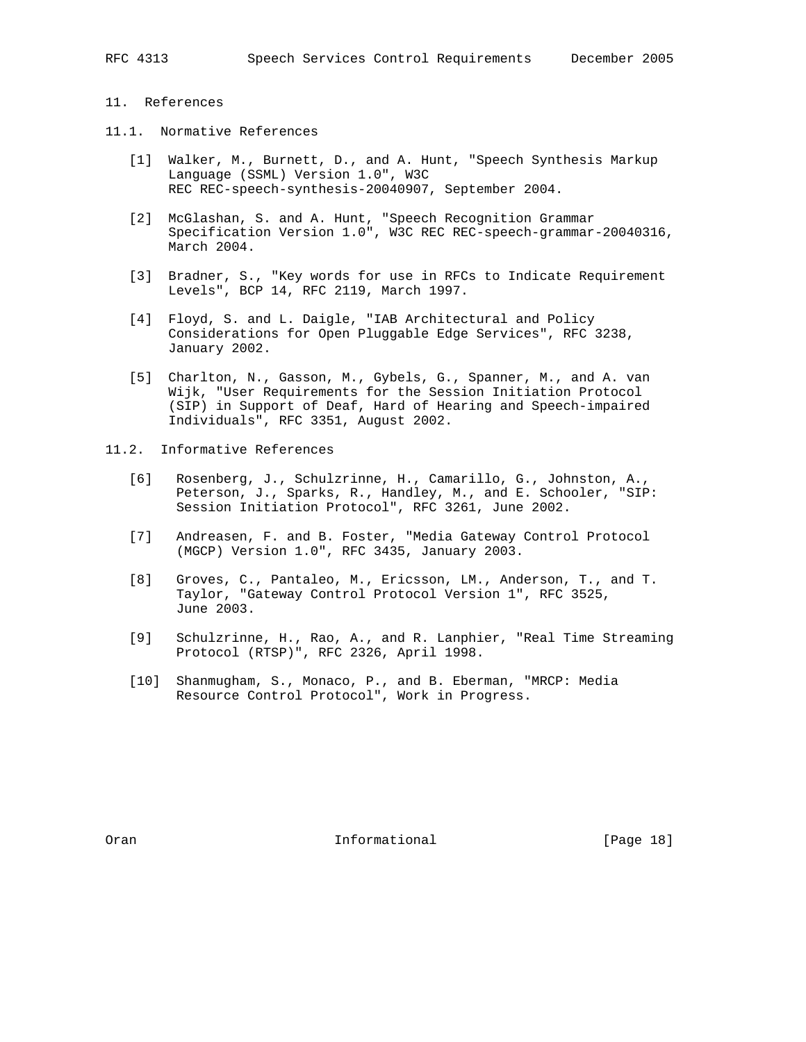# 11. References

- 11.1. Normative References
	- [1] Walker, M., Burnett, D., and A. Hunt, "Speech Synthesis Markup Language (SSML) Version 1.0", W3C REC REC-speech-synthesis-20040907, September 2004.
	- [2] McGlashan, S. and A. Hunt, "Speech Recognition Grammar Specification Version 1.0", W3C REC REC-speech-grammar-20040316, March 2004.
	- [3] Bradner, S., "Key words for use in RFCs to Indicate Requirement Levels", BCP 14, RFC 2119, March 1997.
	- [4] Floyd, S. and L. Daigle, "IAB Architectural and Policy Considerations for Open Pluggable Edge Services", RFC 3238, January 2002.
	- [5] Charlton, N., Gasson, M., Gybels, G., Spanner, M., and A. van Wijk, "User Requirements for the Session Initiation Protocol (SIP) in Support of Deaf, Hard of Hearing and Speech-impaired Individuals", RFC 3351, August 2002.
- 11.2. Informative References
	- [6] Rosenberg, J., Schulzrinne, H., Camarillo, G., Johnston, A., Peterson, J., Sparks, R., Handley, M., and E. Schooler, "SIP: Session Initiation Protocol", RFC 3261, June 2002.
	- [7] Andreasen, F. and B. Foster, "Media Gateway Control Protocol (MGCP) Version 1.0", RFC 3435, January 2003.
	- [8] Groves, C., Pantaleo, M., Ericsson, LM., Anderson, T., and T. Taylor, "Gateway Control Protocol Version 1", RFC 3525, June 2003.
	- [9] Schulzrinne, H., Rao, A., and R. Lanphier, "Real Time Streaming Protocol (RTSP)", RFC 2326, April 1998.
	- [10] Shanmugham, S., Monaco, P., and B. Eberman, "MRCP: Media Resource Control Protocol", Work in Progress.

Oran **Informational** Informational [Page 18]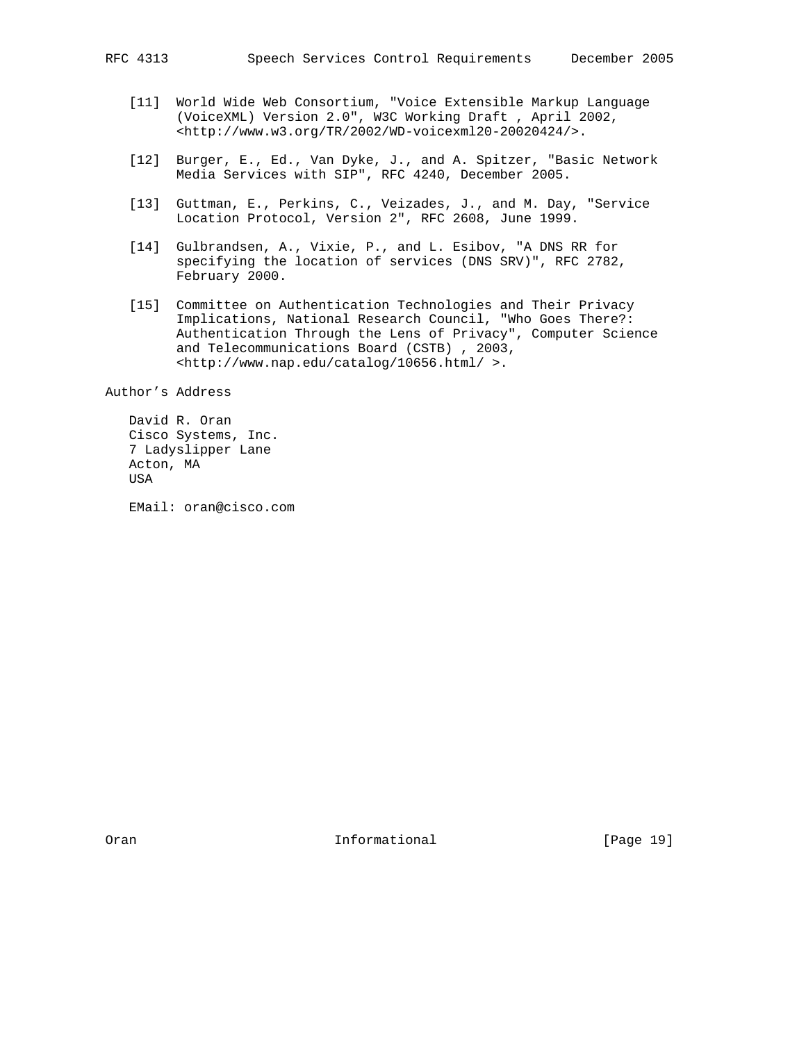- [11] World Wide Web Consortium, "Voice Extensible Markup Language (VoiceXML) Version 2.0", W3C Working Draft , April 2002, <http://www.w3.org/TR/2002/WD-voicexml20-20020424/>.
- [12] Burger, E., Ed., Van Dyke, J., and A. Spitzer, "Basic Network Media Services with SIP", RFC 4240, December 2005.
- [13] Guttman, E., Perkins, C., Veizades, J., and M. Day, "Service Location Protocol, Version 2", RFC 2608, June 1999.
- [14] Gulbrandsen, A., Vixie, P., and L. Esibov, "A DNS RR for specifying the location of services (DNS SRV)", RFC 2782, February 2000.
- [15] Committee on Authentication Technologies and Their Privacy Implications, National Research Council, "Who Goes There?: Authentication Through the Lens of Privacy", Computer Science and Telecommunications Board (CSTB) , 2003, <http://www.nap.edu/catalog/10656.html/ >.

Author's Address

 David R. Oran Cisco Systems, Inc. 7 Ladyslipper Lane Acton, MA USA

EMail: oran@cisco.com

Oran **Informational** Informational [Page 19]